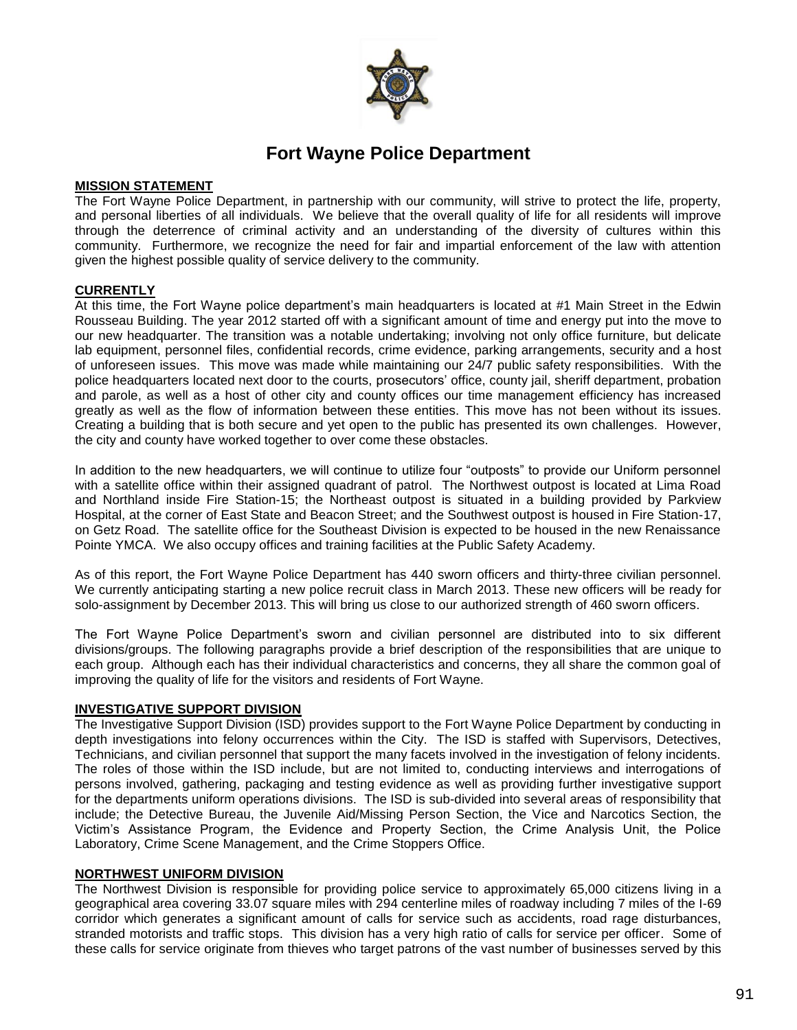

# **Fort Wayne Police Department**

# **MISSION STATEMENT**

The Fort Wayne Police Department, in partnership with our community, will strive to protect the life, property, and personal liberties of all individuals. We believe that the overall quality of life for all residents will improve through the deterrence of criminal activity and an understanding of the diversity of cultures within this community. Furthermore, we recognize the need for fair and impartial enforcement of the law with attention given the highest possible quality of service delivery to the community*.*

# **CURRENTLY**

At this time, the Fort Wayne police department's main headquarters is located at #1 Main Street in the Edwin Rousseau Building. The year 2012 started off with a significant amount of time and energy put into the move to our new headquarter. The transition was a notable undertaking; involving not only office furniture, but delicate lab equipment, personnel files, confidential records, crime evidence, parking arrangements, security and a host of unforeseen issues. This move was made while maintaining our 24/7 public safety responsibilities. With the police headquarters located next door to the courts, prosecutors' office, county jail, sheriff department, probation and parole, as well as a host of other city and county offices our time management efficiency has increased greatly as well as the flow of information between these entities. This move has not been without its issues. Creating a building that is both secure and yet open to the public has presented its own challenges. However, the city and county have worked together to over come these obstacles.

In addition to the new headquarters, we will continue to utilize four "outposts" to provide our Uniform personnel with a satellite office within their assigned quadrant of patrol. The Northwest outpost is located at Lima Road and Northland inside Fire Station-15; the Northeast outpost is situated in a building provided by Parkview Hospital, at the corner of East State and Beacon Street; and the Southwest outpost is housed in Fire Station-17, on Getz Road. The satellite office for the Southeast Division is expected to be housed in the new Renaissance Pointe YMCA. We also occupy offices and training facilities at the Public Safety Academy.

As of this report, the Fort Wayne Police Department has 440 sworn officers and thirty-three civilian personnel. We currently anticipating starting a new police recruit class in March 2013. These new officers will be ready for solo-assignment by December 2013. This will bring us close to our authorized strength of 460 sworn officers.

The Fort Wayne Police Department's sworn and civilian personnel are distributed into to six different divisions/groups. The following paragraphs provide a brief description of the responsibilities that are unique to each group. Although each has their individual characteristics and concerns, they all share the common goal of improving the quality of life for the visitors and residents of Fort Wayne.

# **INVESTIGATIVE SUPPORT DIVISION**

The Investigative Support Division (ISD) provides support to the Fort Wayne Police Department by conducting in depth investigations into felony occurrences within the City. The ISD is staffed with Supervisors, Detectives, Technicians, and civilian personnel that support the many facets involved in the investigation of felony incidents. The roles of those within the ISD include, but are not limited to, conducting interviews and interrogations of persons involved, gathering, packaging and testing evidence as well as providing further investigative support for the departments uniform operations divisions. The ISD is sub-divided into several areas of responsibility that include; the Detective Bureau, the Juvenile Aid/Missing Person Section, the Vice and Narcotics Section, the Victim's Assistance Program, the Evidence and Property Section, the Crime Analysis Unit, the Police Laboratory, Crime Scene Management, and the Crime Stoppers Office.

#### **NORTHWEST UNIFORM DIVISION**

The Northwest Division is responsible for providing police service to approximately 65,000 citizens living in a geographical area covering 33.07 square miles with 294 centerline miles of roadway including 7 miles of the I-69 corridor which generates a significant amount of calls for service such as accidents, road rage disturbances, stranded motorists and traffic stops. This division has a very high ratio of calls for service per officer. Some of these calls for service originate from thieves who target patrons of the vast number of businesses served by this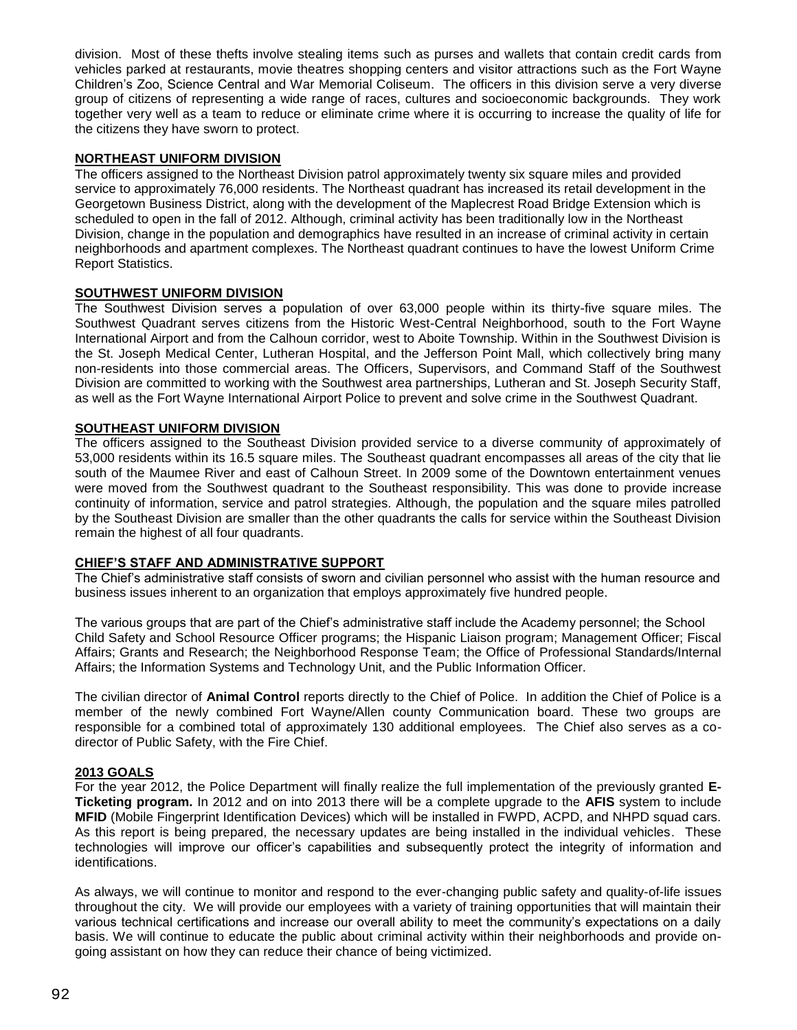division. Most of these thefts involve stealing items such as purses and wallets that contain credit cards from vehicles parked at restaurants, movie theatres shopping centers and visitor attractions such as the Fort Wayne Children's Zoo, Science Central and War Memorial Coliseum. The officers in this division serve a very diverse group of citizens of representing a wide range of races, cultures and socioeconomic backgrounds. They work together very well as a team to reduce or eliminate crime where it is occurring to increase the quality of life for the citizens they have sworn to protect.

# **NORTHEAST UNIFORM DIVISION**

The officers assigned to the Northeast Division patrol approximately twenty six square miles and provided service to approximately 76,000 residents. The Northeast quadrant has increased its retail development in the Georgetown Business District, along with the development of the Maplecrest Road Bridge Extension which is scheduled to open in the fall of 2012. Although, criminal activity has been traditionally low in the Northeast Division, change in the population and demographics have resulted in an increase of criminal activity in certain neighborhoods and apartment complexes. The Northeast quadrant continues to have the lowest Uniform Crime Report Statistics.

### **SOUTHWEST UNIFORM DIVISION**

The Southwest Division serves a population of over 63,000 people within its thirty-five square miles. The Southwest Quadrant serves citizens from the Historic West-Central Neighborhood, south to the Fort Wayne International Airport and from the Calhoun corridor, west to Aboite Township. Within in the Southwest Division is the St. Joseph Medical Center, Lutheran Hospital, and the Jefferson Point Mall, which collectively bring many non-residents into those commercial areas. The Officers, Supervisors, and Command Staff of the Southwest Division are committed to working with the Southwest area partnerships, Lutheran and St. Joseph Security Staff, as well as the Fort Wayne International Airport Police to prevent and solve crime in the Southwest Quadrant.

### **SOUTHEAST UNIFORM DIVISION**

The officers assigned to the Southeast Division provided service to a diverse community of approximately of 53,000 residents within its 16.5 square miles. The Southeast quadrant encompasses all areas of the city that lie south of the Maumee River and east of Calhoun Street. In 2009 some of the Downtown entertainment venues were moved from the Southwest quadrant to the Southeast responsibility. This was done to provide increase continuity of information, service and patrol strategies. Although, the population and the square miles patrolled by the Southeast Division are smaller than the other quadrants the calls for service within the Southeast Division remain the highest of all four quadrants.

#### **CHIEF'S STAFF AND ADMINISTRATIVE SUPPORT**

The Chief's administrative staff consists of sworn and civilian personnel who assist with the human resource and business issues inherent to an organization that employs approximately five hundred people.

The various groups that are part of the Chief's administrative staff include the Academy personnel; the School Child Safety and School Resource Officer programs; the Hispanic Liaison program; Management Officer; Fiscal Affairs; Grants and Research; the Neighborhood Response Team; the Office of Professional Standards/Internal Affairs; the Information Systems and Technology Unit, and the Public Information Officer.

The civilian director of **Animal Control** reports directly to the Chief of Police. In addition the Chief of Police is a member of the newly combined Fort Wayne/Allen county Communication board. These two groups are responsible for a combined total of approximately 130 additional employees. The Chief also serves as a codirector of Public Safety, with the Fire Chief.

#### **2013 GOALS**

For the year 2012, the Police Department will finally realize the full implementation of the previously granted **E-Ticketing program.** In 2012 and on into 2013 there will be a complete upgrade to the **AFIS** system to include **MFID** (Mobile Fingerprint Identification Devices) which will be installed in FWPD, ACPD, and NHPD squad cars. As this report is being prepared, the necessary updates are being installed in the individual vehicles. These technologies will improve our officer's capabilities and subsequently protect the integrity of information and identifications.

As always, we will continue to monitor and respond to the ever-changing public safety and quality-of-life issues throughout the city. We will provide our employees with a variety of training opportunities that will maintain their various technical certifications and increase our overall ability to meet the community's expectations on a daily basis. We will continue to educate the public about criminal activity within their neighborhoods and provide ongoing assistant on how they can reduce their chance of being victimized.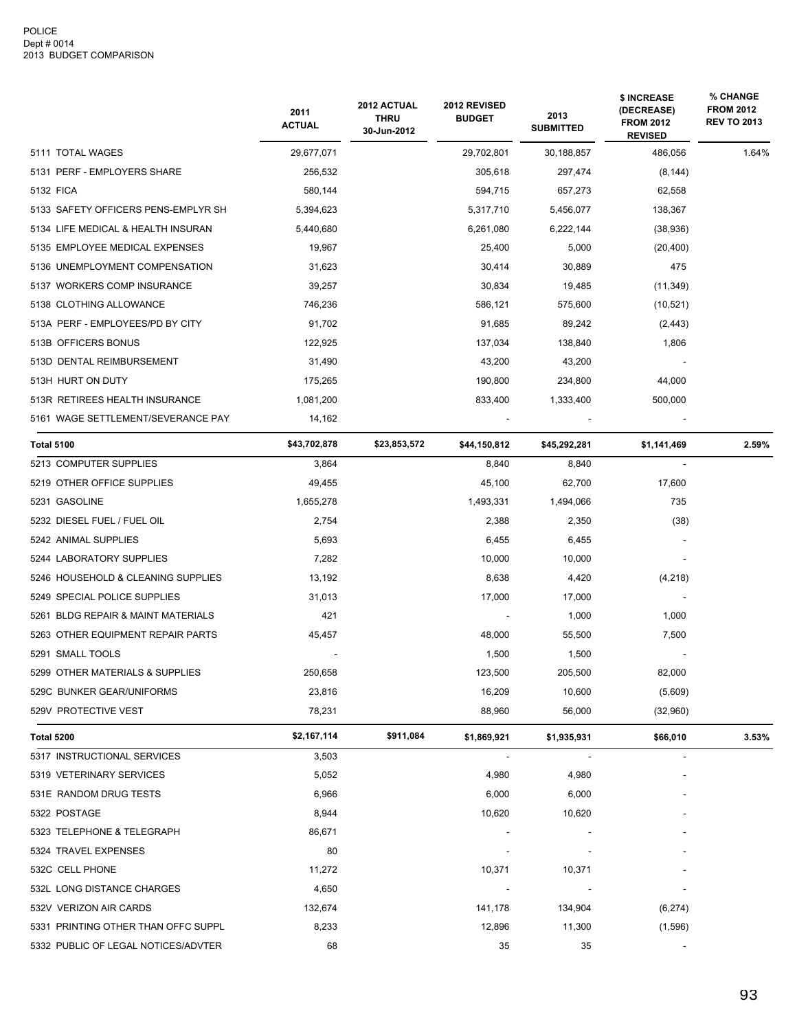|                                     | 2011<br><b>ACTUAL</b> | 2012 ACTUAL<br><b>THRU</b><br>30-Jun-2012 | 2012 REVISED<br><b>BUDGET</b> | 2013<br><b>SUBMITTED</b> | \$ INCREASE<br>(DECREASE)<br><b>FROM 2012</b><br><b>REVISED</b> | % CHANGE<br><b>FROM 2012</b><br><b>REV TO 2013</b> |
|-------------------------------------|-----------------------|-------------------------------------------|-------------------------------|--------------------------|-----------------------------------------------------------------|----------------------------------------------------|
| 5111 TOTAL WAGES                    | 29,677,071            |                                           | 29,702,801                    | 30,188,857               | 486,056                                                         | 1.64%                                              |
| 5131 PERF - EMPLOYERS SHARE         | 256,532               |                                           | 305,618                       | 297,474                  | (8, 144)                                                        |                                                    |
| 5132 FICA                           | 580,144               |                                           | 594,715                       | 657,273                  | 62,558                                                          |                                                    |
| 5133 SAFETY OFFICERS PENS-EMPLYR SH | 5,394,623             |                                           | 5,317,710                     | 5,456,077                | 138,367                                                         |                                                    |
| 5134 LIFE MEDICAL & HEALTH INSURAN  | 5,440,680             |                                           | 6,261,080                     | 6,222,144                | (38, 936)                                                       |                                                    |
| 5135 EMPLOYEE MEDICAL EXPENSES      | 19,967                |                                           | 25,400                        | 5,000                    | (20, 400)                                                       |                                                    |
| 5136 UNEMPLOYMENT COMPENSATION      | 31,623                |                                           | 30,414                        | 30,889                   | 475                                                             |                                                    |
| 5137 WORKERS COMP INSURANCE         | 39,257                |                                           | 30,834                        | 19,485                   | (11, 349)                                                       |                                                    |
| 5138 CLOTHING ALLOWANCE             | 746,236               |                                           | 586,121                       | 575,600                  | (10, 521)                                                       |                                                    |
| 513A PERF - EMPLOYEES/PD BY CITY    | 91,702                |                                           | 91,685                        | 89,242                   | (2, 443)                                                        |                                                    |
| 513B OFFICERS BONUS                 | 122,925               |                                           | 137,034                       | 138,840                  | 1,806                                                           |                                                    |
| 513D DENTAL REIMBURSEMENT           | 31,490                |                                           | 43,200                        | 43,200                   |                                                                 |                                                    |
| 513H HURT ON DUTY                   | 175,265               |                                           | 190,800                       | 234,800                  | 44,000                                                          |                                                    |
| 513R RETIREES HEALTH INSURANCE      | 1,081,200             |                                           | 833,400                       | 1,333,400                | 500,000                                                         |                                                    |
| 5161 WAGE SETTLEMENT/SEVERANCE PAY  | 14,162                |                                           |                               |                          |                                                                 |                                                    |
| <b>Total 5100</b>                   | \$43,702,878          | \$23,853,572                              | \$44,150,812                  | \$45,292,281             | \$1,141,469                                                     | 2.59%                                              |
| 5213 COMPUTER SUPPLIES              | 3,864                 |                                           | 8,840                         | 8,840                    |                                                                 |                                                    |
| 5219 OTHER OFFICE SUPPLIES          | 49,455                |                                           | 45,100                        | 62,700                   | 17,600                                                          |                                                    |
| 5231 GASOLINE                       | 1,655,278             |                                           | 1,493,331                     | 1,494,066                | 735                                                             |                                                    |
| 5232 DIESEL FUEL / FUEL OIL         | 2,754                 |                                           | 2,388                         | 2,350                    | (38)                                                            |                                                    |
| 5242 ANIMAL SUPPLIES                | 5,693                 |                                           | 6,455                         | 6,455                    |                                                                 |                                                    |
| 5244 LABORATORY SUPPLIES            | 7,282                 |                                           | 10,000                        | 10,000                   |                                                                 |                                                    |
| 5246 HOUSEHOLD & CLEANING SUPPLIES  | 13,192                |                                           | 8,638                         | 4,420                    | (4,218)                                                         |                                                    |
| 5249 SPECIAL POLICE SUPPLIES        | 31,013                |                                           | 17,000                        | 17,000                   |                                                                 |                                                    |
| 5261 BLDG REPAIR & MAINT MATERIALS  | 421                   |                                           |                               | 1,000                    | 1,000                                                           |                                                    |
| 5263 OTHER EQUIPMENT REPAIR PARTS   | 45,457                |                                           | 48,000                        | 55,500                   | 7,500                                                           |                                                    |
| 5291 SMALL TOOLS                    |                       |                                           | 1,500                         | 1,500                    |                                                                 |                                                    |
| 5299 OTHER MATERIALS & SUPPLIES     | 250,658               |                                           | 123,500                       | 205,500                  | 82,000                                                          |                                                    |
| 529C BUNKER GEAR/UNIFORMS           | 23,816                |                                           | 16,209                        | 10,600                   | (5,609)                                                         |                                                    |
| 529V PROTECTIVE VEST                | 78,231                |                                           | 88,960                        | 56,000                   | (32,960)                                                        |                                                    |
| Total 5200                          | \$2,167,114           | \$911,084                                 | \$1,869,921                   | \$1,935,931              | \$66,010                                                        | 3.53%                                              |
| 5317 INSTRUCTIONAL SERVICES         | 3,503                 |                                           |                               |                          |                                                                 |                                                    |
| 5319 VETERINARY SERVICES            | 5,052                 |                                           | 4,980                         | 4,980                    |                                                                 |                                                    |
| 531E RANDOM DRUG TESTS              | 6,966                 |                                           | 6,000                         | 6,000                    |                                                                 |                                                    |
| 5322 POSTAGE                        | 8,944                 |                                           | 10,620                        | 10,620                   |                                                                 |                                                    |
| 5323 TELEPHONE & TELEGRAPH          | 86,671                |                                           |                               |                          |                                                                 |                                                    |
| 5324 TRAVEL EXPENSES                | 80                    |                                           |                               |                          |                                                                 |                                                    |
| 532C CELL PHONE                     | 11,272                |                                           | 10,371                        | 10,371                   |                                                                 |                                                    |
| 532L LONG DISTANCE CHARGES          | 4,650                 |                                           |                               |                          |                                                                 |                                                    |
| 532V VERIZON AIR CARDS              | 132,674               |                                           | 141,178                       | 134,904                  | (6,274)                                                         |                                                    |
| 5331 PRINTING OTHER THAN OFFC SUPPL | 8,233                 |                                           | 12,896                        | 11,300                   | (1,596)                                                         |                                                    |
| 5332 PUBLIC OF LEGAL NOTICES/ADVTER | 68                    |                                           | 35                            | 35                       |                                                                 |                                                    |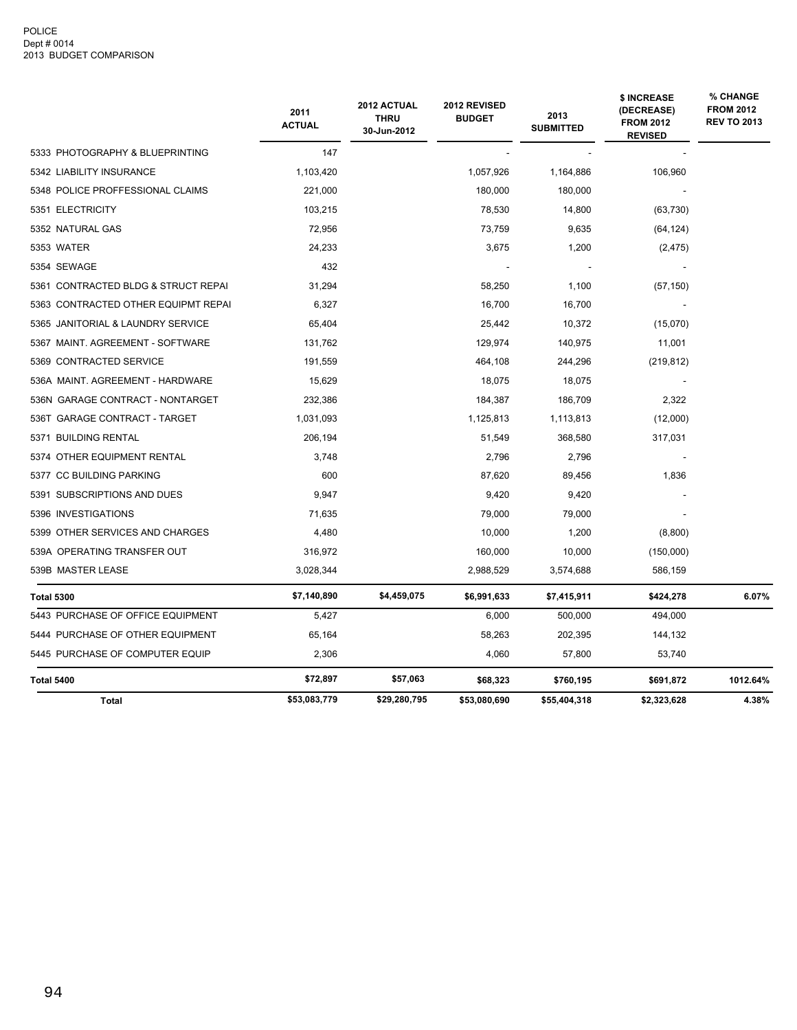#### POLICE Dept # 0014 2013 BUDGET COMPARISON

|                                     | 2011<br><b>ACTUAL</b> | 2012 ACTUAL<br><b>THRU</b><br>30-Jun-2012 | 2012 REVISED<br><b>BUDGET</b> | 2013<br><b>SUBMITTED</b> | \$ INCREASE<br>(DECREASE)<br><b>FROM 2012</b><br><b>REVISED</b> | % CHANGE<br><b>FROM 2012</b><br><b>REV TO 2013</b> |
|-------------------------------------|-----------------------|-------------------------------------------|-------------------------------|--------------------------|-----------------------------------------------------------------|----------------------------------------------------|
| 5333 PHOTOGRAPHY & BLUEPRINTING     | 147                   |                                           |                               |                          |                                                                 |                                                    |
| 5342 LIABILITY INSURANCE            | 1,103,420             |                                           | 1,057,926                     | 1,164,886                | 106,960                                                         |                                                    |
| 5348 POLICE PROFFESSIONAL CLAIMS    | 221,000               |                                           | 180,000                       | 180,000                  |                                                                 |                                                    |
| 5351 ELECTRICITY                    | 103,215               |                                           | 78,530                        | 14,800                   | (63, 730)                                                       |                                                    |
| 5352 NATURAL GAS                    | 72,956                |                                           | 73,759                        | 9,635                    | (64, 124)                                                       |                                                    |
| 5353 WATER                          | 24,233                |                                           | 3,675                         | 1,200                    | (2, 475)                                                        |                                                    |
| 5354 SEWAGE                         | 432                   |                                           |                               |                          |                                                                 |                                                    |
| 5361 CONTRACTED BLDG & STRUCT REPAI | 31,294                |                                           | 58,250                        | 1,100                    | (57, 150)                                                       |                                                    |
| 5363 CONTRACTED OTHER EQUIPMT REPAI | 6,327                 |                                           | 16,700                        | 16,700                   |                                                                 |                                                    |
| 5365 JANITORIAL & LAUNDRY SERVICE   | 65,404                |                                           | 25,442                        | 10,372                   | (15,070)                                                        |                                                    |
| 5367 MAINT. AGREEMENT - SOFTWARE    | 131,762               |                                           | 129,974                       | 140,975                  | 11,001                                                          |                                                    |
| 5369 CONTRACTED SERVICE             | 191,559               |                                           | 464,108                       | 244,296                  | (219, 812)                                                      |                                                    |
| 536A MAINT. AGREEMENT - HARDWARE    | 15,629                |                                           | 18,075                        | 18,075                   |                                                                 |                                                    |
| 536N GARAGE CONTRACT - NONTARGET    | 232,386               |                                           | 184,387                       | 186,709                  | 2,322                                                           |                                                    |
| 536T GARAGE CONTRACT - TARGET       | 1,031,093             |                                           | 1,125,813                     | 1,113,813                | (12,000)                                                        |                                                    |
| 5371 BUILDING RENTAL                | 206,194               |                                           | 51,549                        | 368,580                  | 317,031                                                         |                                                    |
| 5374 OTHER EQUIPMENT RENTAL         | 3,748                 |                                           | 2,796                         | 2,796                    |                                                                 |                                                    |
| 5377 CC BUILDING PARKING            | 600                   |                                           | 87,620                        | 89,456                   | 1,836                                                           |                                                    |
| 5391 SUBSCRIPTIONS AND DUES         | 9,947                 |                                           | 9,420                         | 9,420                    |                                                                 |                                                    |
| 5396 INVESTIGATIONS                 | 71,635                |                                           | 79,000                        | 79,000                   |                                                                 |                                                    |
| 5399 OTHER SERVICES AND CHARGES     | 4,480                 |                                           | 10.000                        | 1,200                    | (8,800)                                                         |                                                    |
| 539A OPERATING TRANSFER OUT         | 316,972               |                                           | 160,000                       | 10,000                   | (150,000)                                                       |                                                    |
| 539B MASTER LEASE                   | 3,028,344             |                                           | 2,988,529                     | 3,574,688                | 586,159                                                         |                                                    |
| <b>Total 5300</b>                   | \$7,140,890           | \$4,459,075                               | \$6,991,633                   | \$7,415,911              | \$424,278                                                       | 6.07%                                              |
| 5443 PURCHASE OF OFFICE EQUIPMENT   | 5,427                 |                                           | 6,000                         | 500,000                  | 494,000                                                         |                                                    |
| 5444 PURCHASE OF OTHER EQUIPMENT    | 65,164                |                                           | 58,263                        | 202,395                  | 144,132                                                         |                                                    |
| 5445 PURCHASE OF COMPUTER EQUIP     | 2,306                 |                                           | 4,060                         | 57,800                   | 53,740                                                          |                                                    |
| Total 5400                          | \$72,897              | \$57,063                                  | \$68,323                      | \$760,195                | \$691,872                                                       | 1012.64%                                           |
| <b>Total</b>                        | \$53,083,779          | \$29,280,795                              | \$53,080,690                  | \$55,404,318             | \$2,323,628                                                     | 4.38%                                              |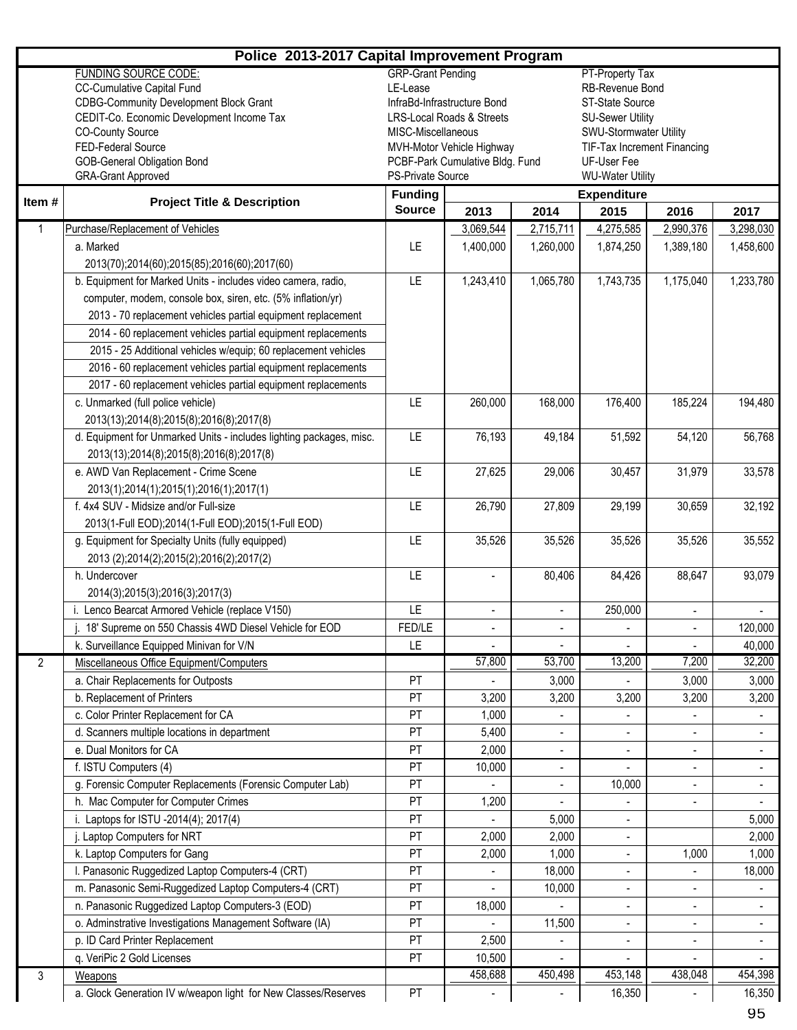| Police 2013-2017 Capital Improvement Program |                                                                     |                                              |                                      |                          |                                                       |                              |                          |  |  |
|----------------------------------------------|---------------------------------------------------------------------|----------------------------------------------|--------------------------------------|--------------------------|-------------------------------------------------------|------------------------------|--------------------------|--|--|
|                                              | <b>FUNDING SOURCE CODE:</b>                                         | <b>GRP-Grant Pending</b>                     |                                      |                          | PT-Property Tax                                       |                              |                          |  |  |
|                                              | <b>CC-Cumulative Capital Fund</b>                                   | LE-Lease                                     |                                      |                          | RB-Revenue Bond                                       |                              |                          |  |  |
|                                              | <b>CDBG-Community Development Block Grant</b>                       |                                              | InfraBd-Infrastructure Bond          |                          | ST-State Source                                       |                              |                          |  |  |
|                                              | CEDIT-Co. Economic Development Income Tax                           |                                              | <b>LRS-Local Roads &amp; Streets</b> |                          | <b>SU-Sewer Utility</b>                               |                              |                          |  |  |
|                                              | <b>CO-County Source</b><br>FED-Federal Source                       | MISC-Miscellaneous                           | MVH-Motor Vehicle Highway            |                          | SWU-Stormwater Utility<br>TIF-Tax Increment Financing |                              |                          |  |  |
|                                              | GOB-General Obligation Bond                                         |                                              | PCBF-Park Cumulative Bldg. Fund      |                          | UF-User Fee                                           |                              |                          |  |  |
|                                              | <b>GRA-Grant Approved</b>                                           | PS-Private Source<br><b>WU-Water Utility</b> |                                      |                          |                                                       |                              |                          |  |  |
|                                              |                                                                     | <b>Funding</b><br><b>Expenditure</b>         |                                      |                          |                                                       |                              |                          |  |  |
| Item#                                        | <b>Project Title &amp; Description</b>                              | <b>Source</b>                                | 2013                                 | 2015<br>2014<br>2016     |                                                       |                              |                          |  |  |
| $\mathbf{1}$                                 | Purchase/Replacement of Vehicles                                    |                                              | 3,069,544                            | 2,715,711                | 4,275,585                                             | 2,990,376                    | 3,298,030                |  |  |
|                                              | a. Marked                                                           | LE.                                          | 1,400,000                            | 1,260,000                | 1,874,250                                             | 1,389,180                    | 1,458,600                |  |  |
|                                              | 2013(70);2014(60);2015(85);2016(60);2017(60)                        |                                              |                                      |                          |                                                       |                              |                          |  |  |
|                                              | b. Equipment for Marked Units - includes video camera, radio,       | LE                                           | 1,243,410                            | 1,065,780                | 1,743,735                                             | 1,175,040                    | 1,233,780                |  |  |
|                                              | computer, modem, console box, siren, etc. (5% inflation/yr)         |                                              |                                      |                          |                                                       |                              |                          |  |  |
|                                              | 2013 - 70 replacement vehicles partial equipment replacement        |                                              |                                      |                          |                                                       |                              |                          |  |  |
|                                              | 2014 - 60 replacement vehicles partial equipment replacements       |                                              |                                      |                          |                                                       |                              |                          |  |  |
|                                              | 2015 - 25 Additional vehicles w/equip; 60 replacement vehicles      |                                              |                                      |                          |                                                       |                              |                          |  |  |
|                                              | 2016 - 60 replacement vehicles partial equipment replacements       |                                              |                                      |                          |                                                       |                              |                          |  |  |
|                                              | 2017 - 60 replacement vehicles partial equipment replacements       |                                              |                                      |                          |                                                       |                              |                          |  |  |
|                                              | c. Unmarked (full police vehicle)                                   | LE                                           | 260,000                              | 168,000                  | 176,400                                               | 185,224                      | 194,480                  |  |  |
|                                              | 2013(13);2014(8);2015(8);2016(8);2017(8)                            |                                              |                                      |                          |                                                       |                              |                          |  |  |
|                                              | d. Equipment for Unmarked Units - includes lighting packages, misc. | LE                                           | 76,193                               | 49,184                   | 51,592                                                | 54,120                       | 56,768                   |  |  |
|                                              | 2013(13);2014(8);2015(8);2016(8);2017(8)                            |                                              |                                      |                          |                                                       |                              |                          |  |  |
|                                              | e. AWD Van Replacement - Crime Scene                                | LE                                           | 27,625                               | 29,006                   | 30,457                                                | 31,979                       | 33,578                   |  |  |
|                                              | 2013(1);2014(1);2015(1);2016(1);2017(1)                             |                                              |                                      |                          |                                                       |                              |                          |  |  |
|                                              | f. 4x4 SUV - Midsize and/or Full-size                               | LE                                           | 26,790                               | 27,809                   | 29,199                                                | 30,659                       | 32,192                   |  |  |
|                                              | 2013(1-Full EOD);2014(1-Full EOD);2015(1-Full EOD)                  |                                              |                                      |                          |                                                       |                              |                          |  |  |
|                                              | g. Equipment for Specialty Units (fully equipped)                   | LE                                           | 35,526                               | 35,526                   | 35,526                                                | 35,526                       | 35,552                   |  |  |
|                                              | 2013 (2);2014(2);2015(2);2016(2);2017(2)                            |                                              |                                      |                          |                                                       |                              |                          |  |  |
|                                              | h. Undercover                                                       | LE                                           |                                      | 80,406                   | 84,426                                                | 88,647                       | 93,079                   |  |  |
|                                              | 2014(3);2015(3);2016(3);2017(3)                                     |                                              |                                      |                          |                                                       |                              |                          |  |  |
|                                              | i. Lenco Bearcat Armored Vehicle (replace V150)                     | LE                                           | $\overline{\phantom{a}}$             | $\overline{\phantom{a}}$ | 250,000                                               | $\qquad \qquad \blacksquare$ |                          |  |  |
|                                              | 18' Supreme on 550 Chassis 4WD Diesel Vehicle for EOD               | FED/LE                                       |                                      |                          |                                                       |                              | 120,000                  |  |  |
|                                              | k. Surveillance Equipped Minivan for V/N                            | LE                                           |                                      |                          |                                                       |                              | 40,000                   |  |  |
| $\overline{2}$                               | Miscellaneous Office Equipment/Computers                            |                                              | 57,800                               | 53,700                   | 13,200                                                | 7,200                        | 32,200                   |  |  |
|                                              | a. Chair Replacements for Outposts                                  | PT                                           |                                      | 3,000                    |                                                       | 3,000                        | 3,000                    |  |  |
|                                              | b. Replacement of Printers                                          | PT                                           | 3,200                                | 3,200                    | 3,200                                                 | 3,200                        | 3,200                    |  |  |
|                                              | c. Color Printer Replacement for CA                                 | PT                                           | 1,000                                |                          |                                                       |                              |                          |  |  |
|                                              | d. Scanners multiple locations in department                        | PT                                           | 5,400                                |                          |                                                       |                              |                          |  |  |
|                                              | e. Dual Monitors for CA                                             | PT                                           | 2,000                                | $\overline{\phantom{a}}$ | $\overline{\phantom{m}}$                              | $\qquad \qquad \blacksquare$ | $\overline{\phantom{a}}$ |  |  |
|                                              | f. ISTU Computers (4)                                               | PT                                           | 10,000                               | -                        |                                                       | $\overline{\phantom{a}}$     | $\overline{\phantom{a}}$ |  |  |
|                                              | g. Forensic Computer Replacements (Forensic Computer Lab)           | PT                                           |                                      |                          | 10,000                                                |                              |                          |  |  |
|                                              | h. Mac Computer for Computer Crimes                                 | PT                                           | 1,200                                |                          |                                                       |                              |                          |  |  |
|                                              | i. Laptops for ISTU -2014(4); 2017(4)                               | PT                                           |                                      | 5,000                    | $\overline{\phantom{m}}$                              |                              | 5,000                    |  |  |
|                                              | j. Laptop Computers for NRT                                         | PT                                           | 2,000                                | 2,000                    | $\overline{\phantom{a}}$                              |                              | 2,000                    |  |  |
|                                              | k. Laptop Computers for Gang                                        | PT                                           | 2,000                                | 1,000                    | $\overline{\phantom{a}}$                              | 1,000                        | 1,000                    |  |  |
|                                              | I. Panasonic Ruggedized Laptop Computers-4 (CRT)                    | PT                                           |                                      | 18,000                   | $\overline{\phantom{a}}$                              |                              | 18,000                   |  |  |
|                                              | m. Panasonic Semi-Ruggedized Laptop Computers-4 (CRT)               | PT                                           |                                      | 10,000                   |                                                       |                              |                          |  |  |
|                                              | n. Panasonic Ruggedized Laptop Computers-3 (EOD)                    | PT                                           | 18,000                               |                          | $\overline{\phantom{m}}$                              | $\overline{\phantom{a}}$     | $\overline{\phantom{a}}$ |  |  |
|                                              | o. Adminstrative Investigations Management Software (IA)            | PT                                           |                                      | 11,500                   | $\overline{\phantom{a}}$                              | $\overline{\phantom{a}}$     | $\overline{\phantom{a}}$ |  |  |
|                                              | p. ID Card Printer Replacement                                      | PT                                           | 2,500                                |                          |                                                       |                              |                          |  |  |
|                                              | q. VeriPic 2 Gold Licenses                                          | PT                                           | 10,500                               |                          |                                                       |                              |                          |  |  |
| 3                                            | Weapons                                                             |                                              | 458,688                              | 450,498                  | 453,148                                               | 438,048                      | 454,398                  |  |  |
|                                              | a. Glock Generation IV w/weapon light for New Classes/Reserves      | PT                                           |                                      |                          | 16,350                                                |                              | 16,350                   |  |  |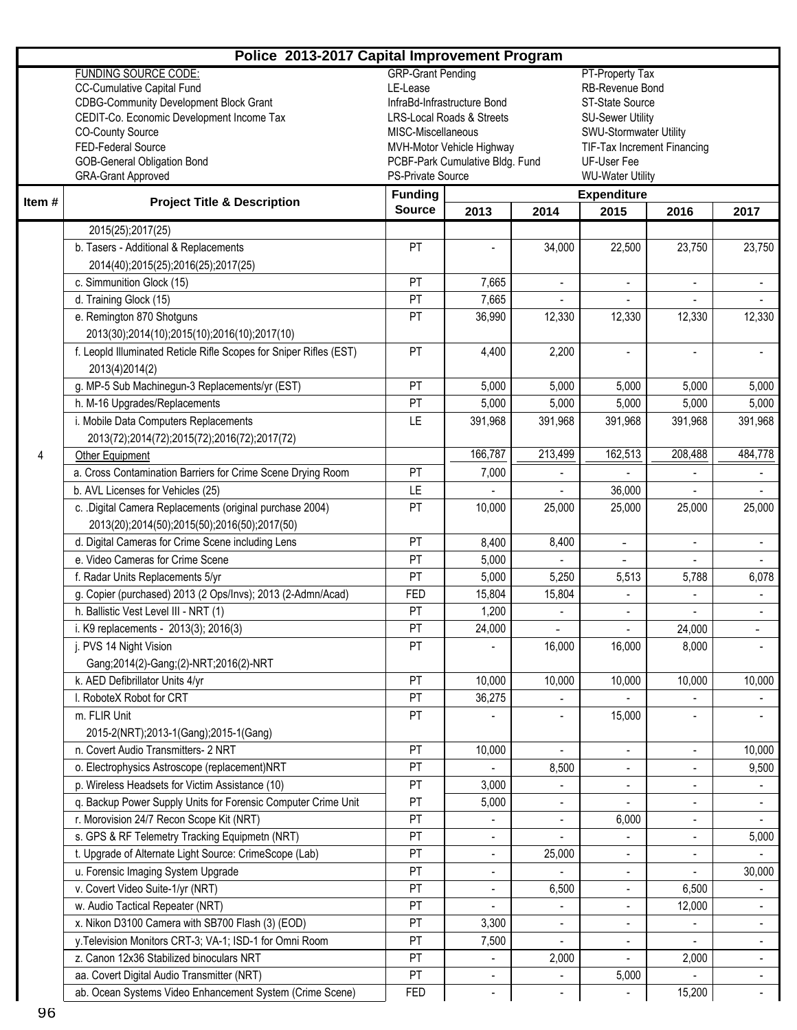|        | Police 2013-2017 Capital Improvement Program                       |                                      |                                      |                          |                                                       |                          |                          |
|--------|--------------------------------------------------------------------|--------------------------------------|--------------------------------------|--------------------------|-------------------------------------------------------|--------------------------|--------------------------|
|        | <b>FUNDING SOURCE CODE:</b>                                        | <b>GRP-Grant Pending</b>             |                                      |                          | PT-Property Tax                                       |                          |                          |
|        | <b>CC-Cumulative Capital Fund</b>                                  | LE-Lease                             |                                      |                          | RB-Revenue Bond                                       |                          |                          |
|        | <b>CDBG-Community Development Block Grant</b>                      |                                      | InfraBd-Infrastructure Bond          |                          | ST-State Source                                       |                          |                          |
|        | CEDIT-Co. Economic Development Income Tax                          |                                      | <b>LRS-Local Roads &amp; Streets</b> |                          | <b>SU-Sewer Utility</b>                               |                          |                          |
|        | <b>CO-County Source</b><br>FED-Federal Source                      | MISC-Miscellaneous                   | MVH-Motor Vehicle Highway            |                          | SWU-Stormwater Utility<br>TIF-Tax Increment Financing |                          |                          |
|        | <b>GOB-General Obligation Bond</b>                                 |                                      | PCBF-Park Cumulative Bldg. Fund      |                          | UF-User Fee                                           |                          |                          |
|        | <b>GRA-Grant Approved</b>                                          | PS-Private Source                    |                                      |                          | <b>WU-Water Utility</b>                               |                          |                          |
|        |                                                                    | <b>Funding</b><br><b>Expenditure</b> |                                      |                          |                                                       |                          |                          |
| Item # | <b>Project Title &amp; Description</b>                             | <b>Source</b>                        | 2013                                 | 2014                     | 2015                                                  | 2016                     | 2017                     |
|        | 2015(25);2017(25)                                                  |                                      |                                      |                          |                                                       |                          |                          |
|        | b. Tasers - Additional & Replacements                              | PT                                   |                                      | 34,000                   | 22,500                                                | 23,750                   | 23,750                   |
|        | 2014(40);2015(25);2016(25);2017(25)                                |                                      |                                      |                          |                                                       |                          |                          |
|        | c. Simmunition Glock (15)                                          | <b>PT</b>                            | 7,665                                | $\overline{\phantom{a}}$ | $\overline{\phantom{a}}$                              | $\overline{\phantom{a}}$ | $\sim$                   |
|        | d. Training Glock (15)                                             | PT                                   | 7,665                                |                          |                                                       |                          |                          |
|        | e. Remington 870 Shotguns                                          | PT                                   | 36,990                               | 12,330                   | 12,330                                                | 12,330                   | 12,330                   |
|        | 2013(30);2014(10);2015(10);2016(10);2017(10)                       |                                      |                                      |                          |                                                       |                          |                          |
|        | f. Leopld Illuminated Reticle Rifle Scopes for Sniper Rifles (EST) | PT                                   | 4,400                                | 2,200                    | $\blacksquare$                                        |                          |                          |
|        | 2013(4)2014(2)                                                     |                                      |                                      |                          |                                                       |                          |                          |
|        | g. MP-5 Sub Machinegun-3 Replacements/yr (EST)                     | PT                                   | 5,000                                | 5,000                    | 5,000                                                 | 5,000                    | 5,000                    |
|        | h. M-16 Upgrades/Replacements                                      | PT                                   | 5,000                                | 5,000                    | 5,000                                                 | 5,000                    | 5,000                    |
|        | i. Mobile Data Computers Replacements                              | LE                                   | 391,968                              | 391,968                  | 391,968                                               | 391,968                  | 391,968                  |
|        | 2013(72);2014(72);2015(72);2016(72);2017(72)                       |                                      |                                      |                          |                                                       |                          |                          |
| 4      | Other Equipment                                                    |                                      | 166,787                              | 213,499                  | 162,513                                               | 208,488                  | 484,778                  |
|        | a. Cross Contamination Barriers for Crime Scene Drying Room        | PT                                   | 7,000                                |                          |                                                       |                          |                          |
|        | b. AVL Licenses for Vehicles (25)                                  | LE                                   |                                      |                          | 36,000                                                |                          |                          |
|        | c. . Digital Camera Replacements (original purchase 2004)          | PT                                   | 10,000                               | 25,000                   | 25,000                                                | 25,000                   | 25,000                   |
|        | 2013(20);2014(50);2015(50);2016(50);2017(50)                       |                                      |                                      |                          |                                                       |                          |                          |
|        | d. Digital Cameras for Crime Scene including Lens                  | PT                                   | 8,400                                | 8,400                    | $\equiv$                                              | $\overline{\phantom{a}}$ | $\blacksquare$           |
|        | e. Video Cameras for Crime Scene                                   | PT                                   | 5,000                                |                          |                                                       |                          |                          |
|        | f. Radar Units Replacements 5/yr                                   | PT                                   | 5,000                                | 5,250                    | 5,513                                                 | 5,788                    | 6,078                    |
|        | g. Copier (purchased) 2013 (2 Ops/Invs); 2013 (2-Admn/Acad)        | <b>FED</b>                           | 15,804                               | 15,804                   |                                                       |                          |                          |
|        | h. Ballistic Vest Level III - NRT (1)                              | PT                                   | 1,200                                |                          | $\overline{\phantom{a}}$                              |                          | $\sim$                   |
|        | i. K9 replacements - 2013(3); 2016(3)                              | PT                                   | 24,000                               |                          |                                                       | 24,000                   |                          |
|        | j. PVS 14 Night Vision                                             | PT                                   |                                      | 16,000                   | 16,000                                                | 8,000                    |                          |
|        | Gang;2014(2)-Gang;(2)-NRT;2016(2)-NRT                              |                                      |                                      |                          |                                                       |                          |                          |
|        | k. AED Defibrillator Units 4/yr                                    | PT                                   | 10,000                               | 10,000                   | 10,000                                                | 10,000                   | 10,000                   |
|        | I. RoboteX Robot for CRT                                           | PT                                   | 36,275                               |                          |                                                       |                          |                          |
|        | m. FLIR Unit                                                       | <b>PT</b>                            |                                      |                          | 15,000                                                |                          |                          |
|        | 2015-2(NRT);2013-1(Gang);2015-1(Gang)                              |                                      |                                      |                          |                                                       |                          |                          |
|        | n. Covert Audio Transmitters- 2 NRT                                | PT                                   | 10,000                               |                          | ٠                                                     | $\overline{\phantom{a}}$ | 10,000                   |
|        | o. Electrophysics Astroscope (replacement)NRT                      | PT                                   |                                      | 8,500                    | $\overline{\phantom{a}}$                              |                          | 9,500                    |
|        | p. Wireless Headsets for Victim Assistance (10)                    | PT                                   | 3,000                                |                          |                                                       |                          |                          |
|        | q. Backup Power Supply Units for Forensic Computer Crime Unit      | PT                                   | 5,000                                |                          |                                                       | $\blacksquare$           |                          |
|        | r. Morovision 24/7 Recon Scope Kit (NRT)                           | PT                                   |                                      |                          | 6,000                                                 |                          |                          |
|        | s. GPS & RF Telemetry Tracking Equipmetn (NRT)                     | PT                                   | $\blacksquare$                       |                          | $\overline{\phantom{a}}$                              | $\overline{\phantom{a}}$ | 5,000                    |
|        | t. Upgrade of Alternate Light Source: CrimeScope (Lab)             | PT                                   | $\overline{\phantom{0}}$             | 25,000                   | $\overline{\phantom{a}}$                              |                          |                          |
|        | u. Forensic Imaging System Upgrade                                 | PT                                   | $\overline{\phantom{a}}$             |                          | $\overline{\phantom{a}}$                              |                          | 30,000                   |
|        | v. Covert Video Suite-1/yr (NRT)                                   | PT                                   |                                      | 6,500                    | $\overline{\phantom{a}}$                              | 6,500                    |                          |
|        | w. Audio Tactical Repeater (NRT)                                   | PT                                   |                                      |                          |                                                       | 12,000                   |                          |
|        | x. Nikon D3100 Camera with SB700 Flash (3) (EOD)                   | PT                                   | 3,300                                | $\overline{\phantom{a}}$ | ۰<br>$\overline{\phantom{a}}$                         |                          |                          |
|        | y. Television Monitors CRT-3; VA-1; ISD-1 for Omni Room            | PT                                   | 7,500                                |                          |                                                       |                          | $\blacksquare$           |
|        | z. Canon 12x36 Stabilized binoculars NRT                           | PT                                   |                                      | 2,000                    |                                                       | 2,000                    | $\overline{\phantom{a}}$ |
|        | aa. Covert Digital Audio Transmitter (NRT)                         | PT                                   |                                      |                          | 5,000                                                 |                          |                          |
|        | ab. Ocean Systems Video Enhancement System (Crime Scene)           | <b>FED</b>                           |                                      | $\overline{\phantom{a}}$ |                                                       | 15,200                   | $\overline{\phantom{a}}$ |
|        |                                                                    |                                      |                                      |                          |                                                       |                          |                          |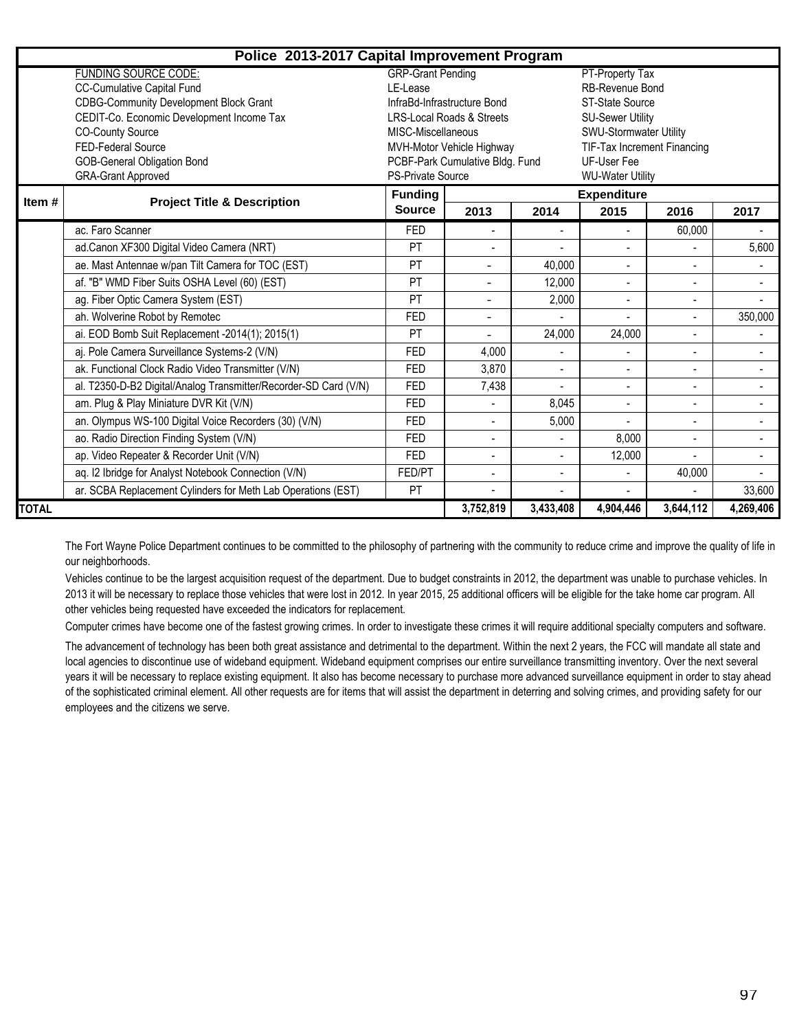|                                                                                                                                | Police 2013-2017 Capital Improvement Program                     |                                      |                                                |                          |                                               |                          |                          |
|--------------------------------------------------------------------------------------------------------------------------------|------------------------------------------------------------------|--------------------------------------|------------------------------------------------|--------------------------|-----------------------------------------------|--------------------------|--------------------------|
|                                                                                                                                | <b>FUNDING SOURCE CODE:</b>                                      | <b>GRP-Grant Pending</b>             |                                                |                          | PT-Property Tax                               |                          |                          |
|                                                                                                                                | <b>CC-Cumulative Capital Fund</b>                                | LE-Lease                             |                                                |                          | RB-Revenue Bond                               |                          |                          |
|                                                                                                                                | <b>CDBG-Community Development Block Grant</b>                    |                                      | InfraBd-Infrastructure Bond<br>ST-State Source |                          |                                               |                          |                          |
|                                                                                                                                | CEDIT-Co. Economic Development Income Tax                        | <b>LRS-Local Roads &amp; Streets</b> |                                                | <b>SU-Sewer Utility</b>  |                                               |                          |                          |
| <b>CO-County Source</b><br>MISC-Miscellaneous                                                                                  |                                                                  |                                      |                                                |                          | SWU-Stormwater Utility                        |                          |                          |
| FED-Federal Source<br>MVH-Motor Vehicle Highway                                                                                |                                                                  |                                      |                                                |                          | TIF-Tax Increment Financing                   |                          |                          |
| <b>GOB-General Obligation Bond</b><br>PCBF-Park Cumulative Bldg. Fund<br><b>GRA-Grant Approved</b><br><b>PS-Private Source</b> |                                                                  |                                      |                                                |                          | <b>UF-User Fee</b><br><b>WU-Water Utility</b> |                          |                          |
|                                                                                                                                |                                                                  | <b>Funding</b>                       |                                                |                          |                                               |                          |                          |
| Item#                                                                                                                          | <b>Project Title &amp; Description</b>                           | <b>Source</b>                        | 2013                                           | 2014                     | <b>Expenditure</b><br>2015                    | 2016                     | 2017                     |
|                                                                                                                                | ac. Faro Scanner                                                 | <b>FED</b>                           |                                                |                          | $\overline{\phantom{a}}$                      | 60,000                   |                          |
|                                                                                                                                | ad.Canon XF300 Digital Video Camera (NRT)                        | PT                                   |                                                |                          |                                               |                          | 5,600                    |
|                                                                                                                                | ae. Mast Antennae w/pan Tilt Camera for TOC (EST)                | PT                                   | $\blacksquare$                                 | 40,000                   | $\overline{a}$                                | $\overline{a}$           | $\overline{\phantom{0}}$ |
|                                                                                                                                | af. "B" WMD Fiber Suits OSHA Level (60) (EST)                    | PT                                   | $\blacksquare$                                 | 12,000                   | $\blacksquare$                                | $\overline{a}$           | $\overline{\phantom{0}}$ |
|                                                                                                                                | ag. Fiber Optic Camera System (EST)                              | PT                                   |                                                | 2,000                    | $\overline{\phantom{a}}$                      | ۰                        |                          |
|                                                                                                                                | ah. Wolverine Robot by Remotec                                   | <b>FED</b>                           | $\blacksquare$                                 |                          |                                               | ÷,                       | 350,000                  |
|                                                                                                                                | ai. EOD Bomb Suit Replacement -2014(1); 2015(1)                  | PT                                   |                                                | 24,000                   | 24,000                                        | ÷,                       |                          |
|                                                                                                                                | aj. Pole Camera Surveillance Systems-2 (V/N)                     | <b>FED</b>                           | 4,000                                          | L,                       | $\overline{\phantom{a}}$                      | $\overline{\phantom{0}}$ | $\overline{\phantom{0}}$ |
|                                                                                                                                | ak. Functional Clock Radio Video Transmitter (V/N)               | <b>FED</b>                           | 3,870                                          |                          |                                               |                          |                          |
|                                                                                                                                | al. T2350-D-B2 Digital/Analog Transmitter/Recorder-SD Card (V/N) | <b>FED</b>                           | 7,438                                          |                          | $\overline{\phantom{0}}$                      | $\overline{\phantom{0}}$ | $\overline{\phantom{0}}$ |
|                                                                                                                                | am. Plug & Play Miniature DVR Kit (V/N)                          | <b>FED</b>                           | ۰.                                             | 8,045                    | $\blacksquare$                                | ٠                        | $\overline{\phantom{0}}$ |
|                                                                                                                                | an. Olympus WS-100 Digital Voice Recorders (30) (V/N)            | <b>FED</b>                           |                                                | 5,000                    |                                               | ÷,                       | $\overline{\phantom{a}}$ |
|                                                                                                                                | ao. Radio Direction Finding System (V/N)                         | <b>FED</b>                           |                                                |                          | 8,000                                         |                          | $\overline{\phantom{0}}$ |
|                                                                                                                                | ap. Video Repeater & Recorder Unit (V/N)                         | <b>FED</b>                           |                                                | $\overline{a}$           | 12,000                                        | $\blacksquare$           | $\blacksquare$           |
|                                                                                                                                | aq. I2 Ibridge for Analyst Notebook Connection (V/N)             | FED/PT                               | $\overline{\phantom{a}}$                       | $\overline{\phantom{0}}$ | $\overline{\phantom{0}}$                      | 40,000                   |                          |
|                                                                                                                                | ar. SCBA Replacement Cylinders for Meth Lab Operations (EST)     | PT                                   |                                                |                          |                                               |                          | 33,600                   |
| <b>TOTAL</b>                                                                                                                   |                                                                  |                                      | 3,752,819                                      | 3,433,408                | 4,904,446                                     | 3,644,112                | 4,269,406                |

The Fort Wayne Police Department continues to be committed to the philosophy of partnering with the community to reduce crime and improve the quality of life in our neighborhoods.

Vehicles continue to be the largest acquisition request of the department. Due to budget constraints in 2012, the department was unable to purchase vehicles. In 2013 it will be necessary to replace those vehicles that were lost in 2012. In year 2015, 25 additional officers will be eligible for the take home car program. All other vehicles being requested have exceeded the indicators for replacement.

Computer crimes have become one of the fastest growing crimes. In order to investigate these crimes it will require additional specialty computers and software.

The advancement of technology has been both great assistance and detrimental to the department. Within the next 2 years, the FCC will mandate all state and local agencies to discontinue use of wideband equipment. Wideband equipment comprises our entire surveillance transmitting inventory. Over the next several years it will be necessary to replace existing equipment. It also has become necessary to purchase more advanced surveillance equipment in order to stay ahead of the sophisticated criminal element. All other requests are for items that will assist the department in deterring and solving crimes, and providing safety for our employees and the citizens we serve.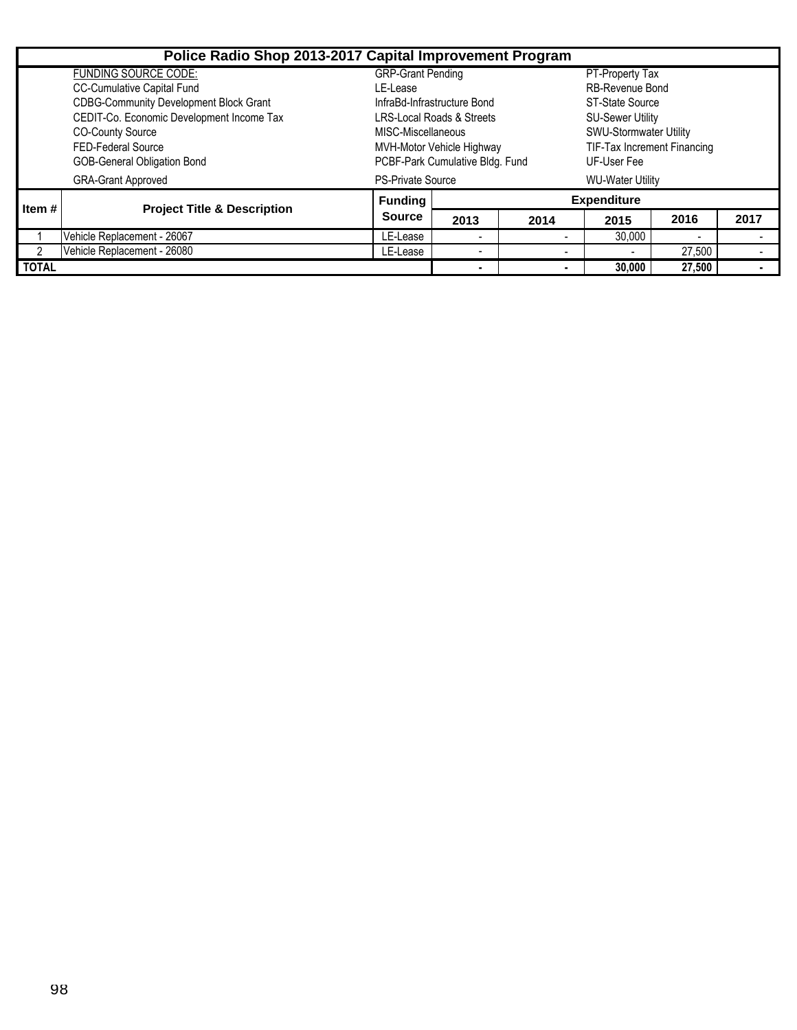|                | Police Radio Shop 2013-2017 Capital Improvement Program |                                      |                                 |                          |                             |        |      |  |  |
|----------------|---------------------------------------------------------|--------------------------------------|---------------------------------|--------------------------|-----------------------------|--------|------|--|--|
|                | <b>FUNDING SOURCE CODE:</b>                             | <b>GRP-Grant Pending</b>             |                                 |                          | PT-Property Tax             |        |      |  |  |
|                | <b>CC-Cumulative Capital Fund</b>                       | LE-Lease                             |                                 |                          | <b>RB-Revenue Bond</b>      |        |      |  |  |
|                | <b>CDBG-Community Development Block Grant</b>           | InfraBd-Infrastructure Bond          |                                 |                          | ST-State Source             |        |      |  |  |
|                | CEDIT-Co. Economic Development Income Tax               | <b>LRS-Local Roads &amp; Streets</b> |                                 |                          | <b>SU-Sewer Utility</b>     |        |      |  |  |
|                | <b>CO-County Source</b>                                 | MISC-Miscellaneous                   |                                 |                          | SWU-Stormwater Utility      |        |      |  |  |
|                | <b>FED-Federal Source</b>                               | MVH-Motor Vehicle Highway            |                                 |                          | TIF-Tax Increment Financing |        |      |  |  |
|                | GOB-General Obligation Bond                             |                                      | PCBF-Park Cumulative Bldg. Fund | UF-User Fee              |                             |        |      |  |  |
|                | <b>GRA-Grant Approved</b>                               | <b>PS-Private Source</b>             | <b>WU-Water Utility</b>         |                          |                             |        |      |  |  |
| I Item #       | <b>Project Title &amp; Description</b>                  | <b>Funding</b>                       | <b>Expenditure</b>              |                          |                             |        |      |  |  |
|                |                                                         | <b>Source</b>                        | 2013                            | 2014                     | 2015                        | 2016   | 2017 |  |  |
|                | Vehicle Replacement - 26067                             | LE-Lease                             | $\overline{\phantom{0}}$        |                          | 30,000                      |        |      |  |  |
| $\overline{2}$ | Vehicle Replacement - 26080                             | LE-Lease                             | $\overline{\phantom{0}}$        | $\overline{\phantom{a}}$ | $\overline{\phantom{0}}$    | 27,500 |      |  |  |
| <b>TOTAL</b>   |                                                         |                                      |                                 |                          | 30,000                      | 27,500 |      |  |  |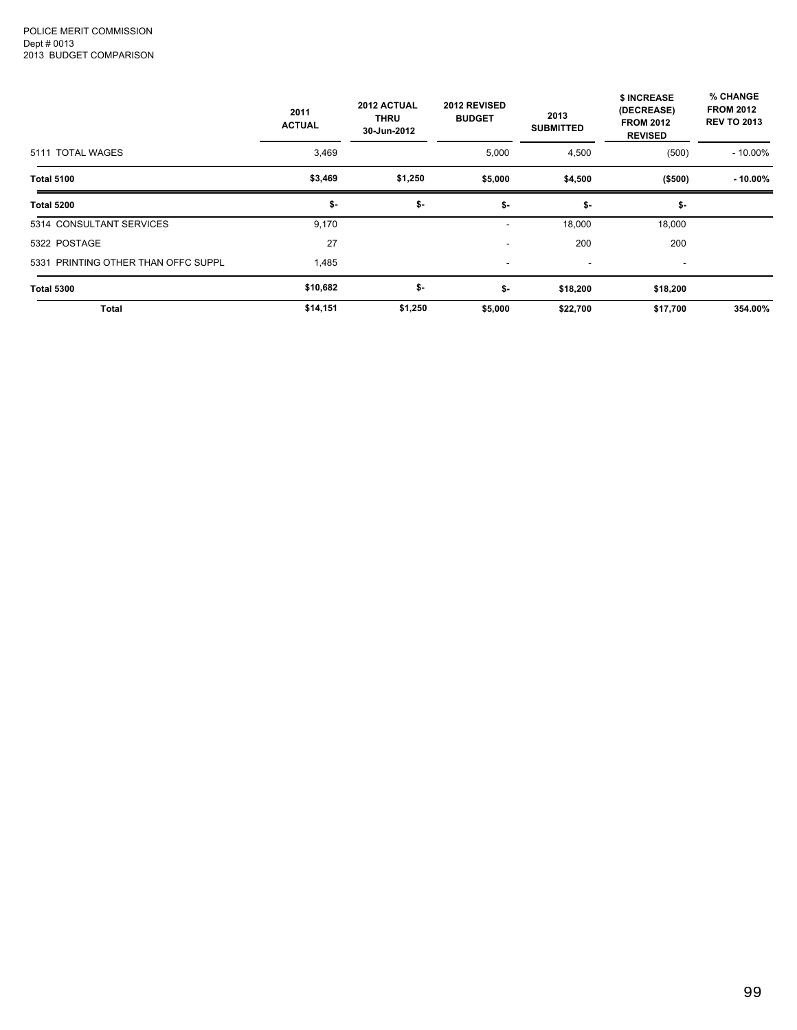|                                     | 2011<br><b>ACTUAL</b> | 2012 ACTUAL<br>2012 REVISED<br><b>THRU</b><br><b>BUDGET</b><br>30-Jun-2012<br>5,000 |         | 2013<br><b>SUBMITTED</b> | \$ INCREASE<br>(DECREASE)<br><b>FROM 2012</b><br><b>REVISED</b> | % CHANGE<br><b>FROM 2012</b><br><b>REV TO 2013</b> |  |
|-------------------------------------|-----------------------|-------------------------------------------------------------------------------------|---------|--------------------------|-----------------------------------------------------------------|----------------------------------------------------|--|
| 5111 TOTAL WAGES                    | 3,469                 |                                                                                     |         | 4,500                    | (500)                                                           | $-10.00\%$                                         |  |
| <b>Total 5100</b>                   | \$3,469               | \$1,250                                                                             | \$5,000 | \$4,500                  | ( \$500)                                                        | $-10.00\%$                                         |  |
| <b>Total 5200</b>                   | \$-                   | \$-                                                                                 | \$-     | \$-                      | \$-                                                             |                                                    |  |
| 5314 CONSULTANT SERVICES            | 9,170                 |                                                                                     | ۰       | 18,000                   | 18,000                                                          |                                                    |  |
| 5322 POSTAGE                        | 27                    |                                                                                     | ٠       | 200                      | 200                                                             |                                                    |  |
| 5331 PRINTING OTHER THAN OFFC SUPPL | 1,485                 |                                                                                     | ۰       | $\overline{\phantom{a}}$ | ۰                                                               |                                                    |  |
| <b>Total 5300</b>                   | \$10,682              | \$-                                                                                 | \$-     | \$18,200                 | \$18,200                                                        |                                                    |  |
| Total                               | \$14,151              | \$1,250                                                                             | \$5,000 | \$22,700                 | \$17,700                                                        | 354.00%                                            |  |